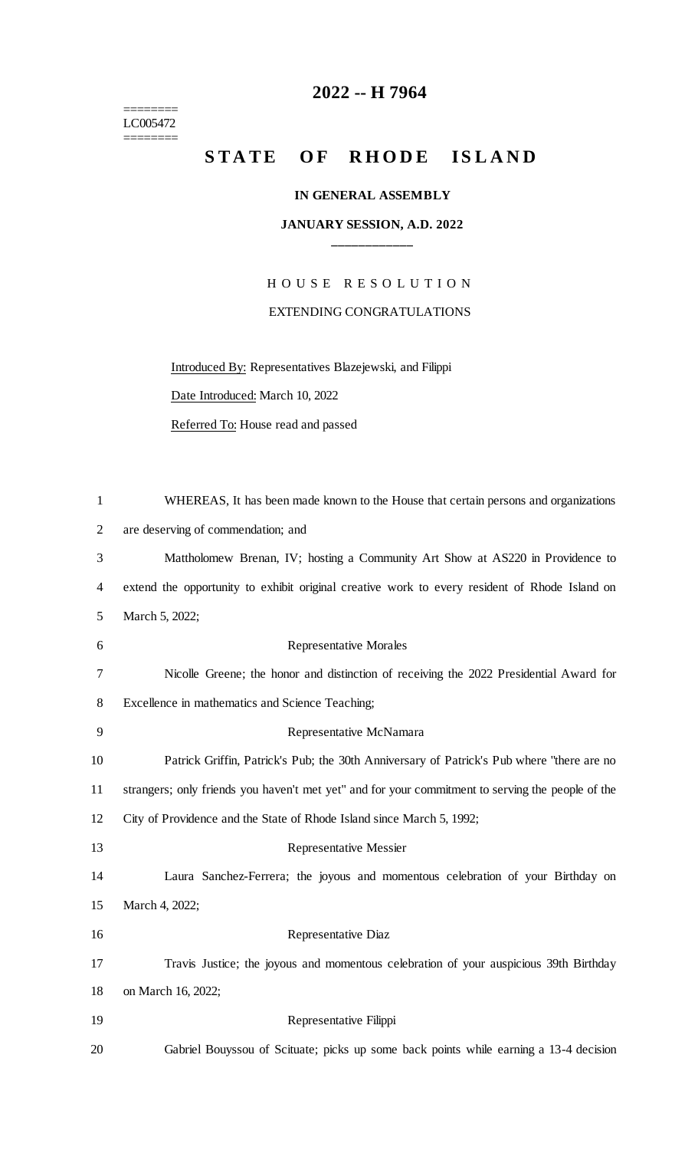======== LC005472 ========

# **-- H 7964**

## STATE OF RHODE ISLAND

#### **IN GENERAL ASSEMBLY**

#### **JANUARY SESSION, A.D. 2022 \_\_\_\_\_\_\_\_\_\_\_\_**

H O U S E R E S O L U T I O N EXTENDING CONGRATULATIONS

Introduced By: Representatives Blazejewski, and Filippi

Date Introduced: March 10, 2022

Referred To: House read and passed

| $\mathbf{1}$   | WHEREAS, It has been made known to the House that certain persons and organizations               |
|----------------|---------------------------------------------------------------------------------------------------|
| $\overline{2}$ | are deserving of commendation; and                                                                |
| 3              | Mattholomew Brenan, IV; hosting a Community Art Show at AS220 in Providence to                    |
| $\overline{4}$ | extend the opportunity to exhibit original creative work to every resident of Rhode Island on     |
| 5              | March 5, 2022;                                                                                    |
| 6              | <b>Representative Morales</b>                                                                     |
| 7              | Nicolle Greene; the honor and distinction of receiving the 2022 Presidential Award for            |
| 8              | Excellence in mathematics and Science Teaching;                                                   |
| 9              | Representative McNamara                                                                           |
| 10             | Patrick Griffin, Patrick's Pub; the 30th Anniversary of Patrick's Pub where "there are no         |
| 11             | strangers; only friends you haven't met yet" and for your commitment to serving the people of the |
| 12             | City of Providence and the State of Rhode Island since March 5, 1992;                             |
| 13             | <b>Representative Messier</b>                                                                     |
| 14             | Laura Sanchez-Ferrera; the joyous and momentous celebration of your Birthday on                   |
| 15             | March 4, 2022;                                                                                    |
| 16             | Representative Diaz                                                                               |
| 17             | Travis Justice; the joyous and momentous celebration of your auspicious 39th Birthday             |
| 18             | on March 16, 2022;                                                                                |
| 19             | Representative Filippi                                                                            |
| 20             | Gabriel Bouyssou of Scituate; picks up some back points while earning a 13-4 decision             |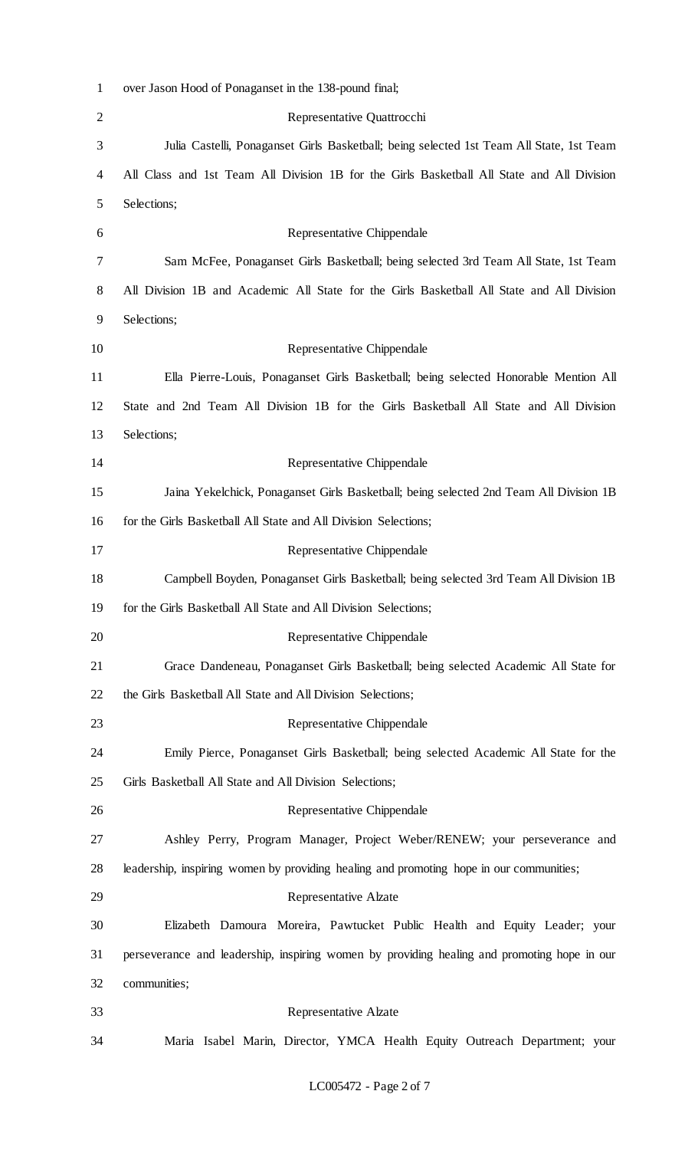| $\mathbf{1}$   | over Jason Hood of Ponaganset in the 138-pound final;                                       |
|----------------|---------------------------------------------------------------------------------------------|
| $\overline{2}$ | Representative Quattrocchi                                                                  |
| 3              | Julia Castelli, Ponaganset Girls Basketball; being selected 1st Team All State, 1st Team    |
| 4              | All Class and 1st Team All Division 1B for the Girls Basketball All State and All Division  |
| 5              | Selections;                                                                                 |
| 6              | Representative Chippendale                                                                  |
| 7              | Sam McFee, Ponaganset Girls Basketball; being selected 3rd Team All State, 1st Team         |
| 8              | All Division 1B and Academic All State for the Girls Basketball All State and All Division  |
| 9              | Selections;                                                                                 |
| 10             | Representative Chippendale                                                                  |
| 11             | Ella Pierre-Louis, Ponaganset Girls Basketball; being selected Honorable Mention All        |
| 12             | State and 2nd Team All Division 1B for the Girls Basketball All State and All Division      |
| 13             | Selections;                                                                                 |
| 14             | Representative Chippendale                                                                  |
| 15             | Jaina Yekelchick, Ponaganset Girls Basketball; being selected 2nd Team All Division 1B      |
| 16             | for the Girls Basketball All State and All Division Selections;                             |
| 17             | Representative Chippendale                                                                  |
| 18             | Campbell Boyden, Ponaganset Girls Basketball; being selected 3rd Team All Division 1B       |
| 19             | for the Girls Basketball All State and All Division Selections;                             |
| 20             | Representative Chippendale                                                                  |
| 21             | Grace Dandeneau, Ponaganset Girls Basketball; being selected Academic All State for         |
| 22             | the Girls Basketball All State and All Division Selections;                                 |
| 23             | Representative Chippendale                                                                  |
| 24             | Emily Pierce, Ponaganset Girls Basketball; being selected Academic All State for the        |
| 25             | Girls Basketball All State and All Division Selections;                                     |
| 26             | Representative Chippendale                                                                  |
| 27             | Ashley Perry, Program Manager, Project Weber/RENEW; your perseverance and                   |
| 28             | leadership, inspiring women by providing healing and promoting hope in our communities;     |
| 29             | <b>Representative Alzate</b>                                                                |
| 30             | Elizabeth Damoura Moreira, Pawtucket Public Health and Equity Leader; your                  |
| 31             | perseverance and leadership, inspiring women by providing healing and promoting hope in our |
| 32             | communities;                                                                                |
| 33             | Representative Alzate                                                                       |
| 34             | Maria Isabel Marin, Director, YMCA Health Equity Outreach Department; your                  |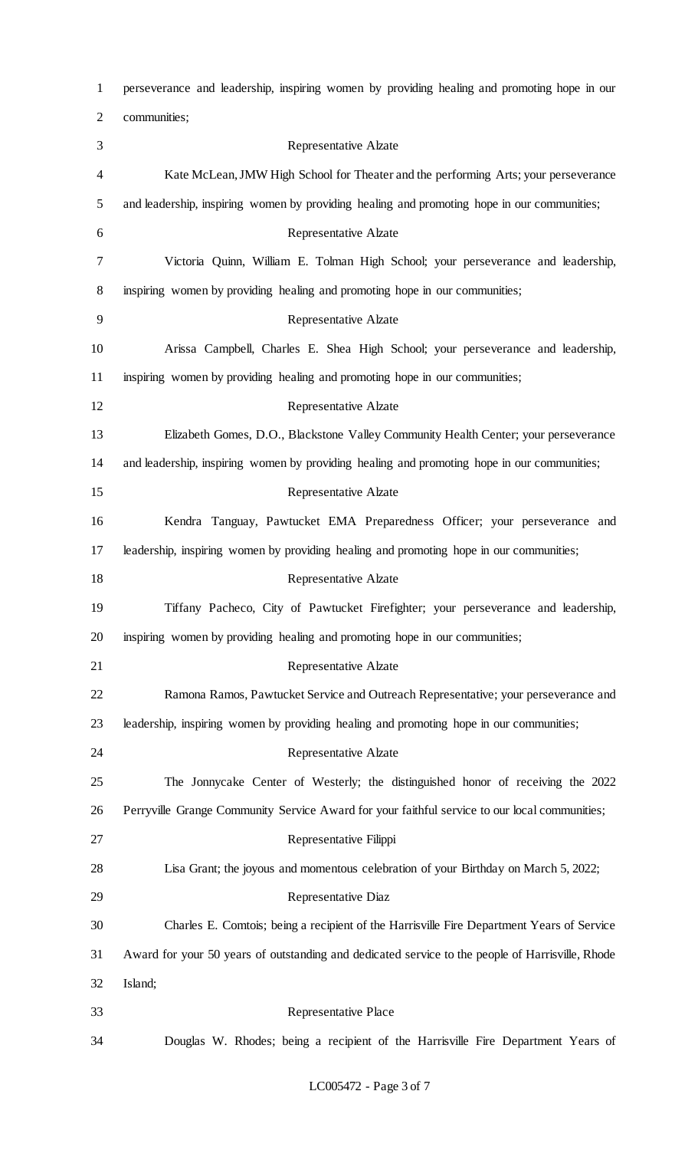| 1              | perseverance and leadership, inspiring women by providing healing and promoting hope in our      |
|----------------|--------------------------------------------------------------------------------------------------|
| $\overline{2}$ | communities;                                                                                     |
| 3              | Representative Alzate                                                                            |
| 4              | Kate McLean, JMW High School for Theater and the performing Arts; your perseverance              |
| 5              | and leadership, inspiring women by providing healing and promoting hope in our communities;      |
| 6              | <b>Representative Alzate</b>                                                                     |
| 7              | Victoria Quinn, William E. Tolman High School; your perseverance and leadership,                 |
| 8              | inspiring women by providing healing and promoting hope in our communities;                      |
| 9              | <b>Representative Alzate</b>                                                                     |
| 10             | Arissa Campbell, Charles E. Shea High School; your perseverance and leadership,                  |
| 11             | inspiring women by providing healing and promoting hope in our communities;                      |
| 12             | <b>Representative Alzate</b>                                                                     |
| 13             | Elizabeth Gomes, D.O., Blackstone Valley Community Health Center; your perseverance              |
| 14             | and leadership, inspiring women by providing healing and promoting hope in our communities;      |
| 15             | <b>Representative Alzate</b>                                                                     |
| 16             | Kendra Tanguay, Pawtucket EMA Preparedness Officer; your perseverance and                        |
| 17             | leadership, inspiring women by providing healing and promoting hope in our communities;          |
| 18             | <b>Representative Alzate</b>                                                                     |
| 19             | Tiffany Pacheco, City of Pawtucket Firefighter; your perseverance and leadership,                |
| 20             | inspiring women by providing healing and promoting hope in our communities;                      |
| 21             | Representative Alzate                                                                            |
| 22             | Ramona Ramos, Pawtucket Service and Outreach Representative; your perseverance and               |
| 23             | leadership, inspiring women by providing healing and promoting hope in our communities;          |
| 24             | <b>Representative Alzate</b>                                                                     |
| 25             | The Jonnycake Center of Westerly; the distinguished honor of receiving the 2022                  |
| 26             | Perryville Grange Community Service Award for your faithful service to our local communities;    |
| 27             | Representative Filippi                                                                           |
| 28             | Lisa Grant; the joyous and momentous celebration of your Birthday on March 5, 2022;              |
| 29             | Representative Diaz                                                                              |
| 30             | Charles E. Comtois; being a recipient of the Harrisville Fire Department Years of Service        |
| 31             | Award for your 50 years of outstanding and dedicated service to the people of Harrisville, Rhode |
| 32             | Island;                                                                                          |
| 33             | Representative Place                                                                             |
| 34             | Douglas W. Rhodes; being a recipient of the Harrisville Fire Department Years of                 |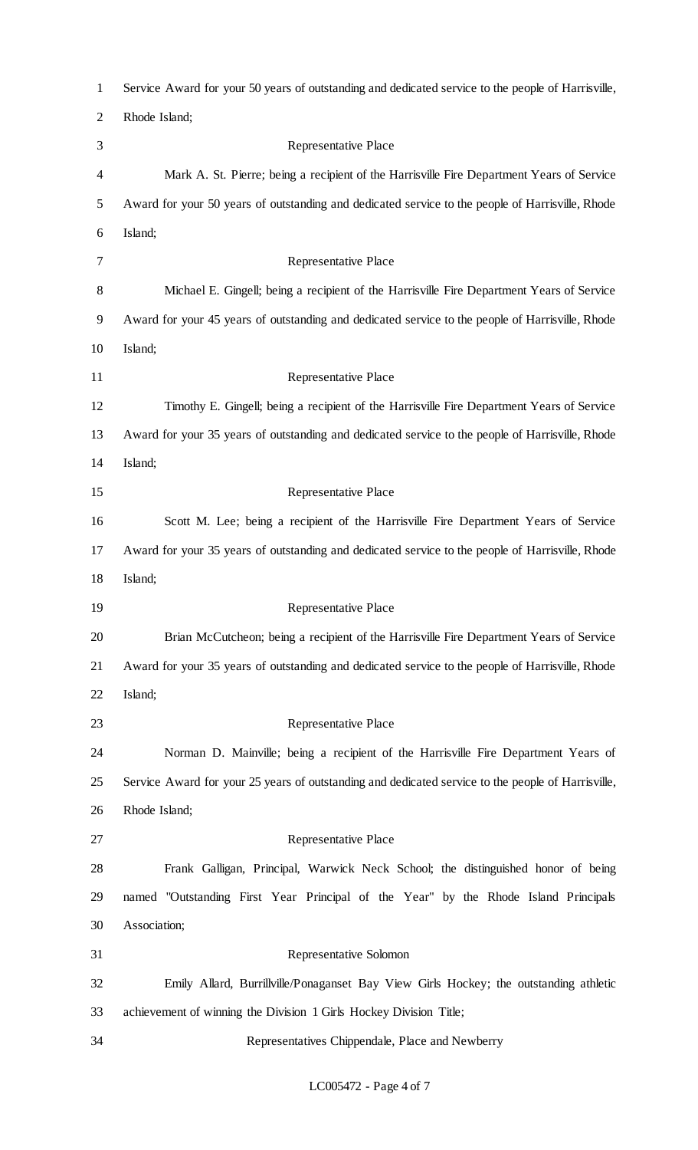| $\mathbf{1}$   | Service Award for your 50 years of outstanding and dedicated service to the people of Harrisville, |
|----------------|----------------------------------------------------------------------------------------------------|
| $\overline{2}$ | Rhode Island;                                                                                      |
| 3              | Representative Place                                                                               |
| 4              | Mark A. St. Pierre; being a recipient of the Harrisville Fire Department Years of Service          |
| 5              | Award for your 50 years of outstanding and dedicated service to the people of Harrisville, Rhode   |
| 6              | Island;                                                                                            |
| 7              | Representative Place                                                                               |
| 8              | Michael E. Gingell; being a recipient of the Harrisville Fire Department Years of Service          |
| 9              | Award for your 45 years of outstanding and dedicated service to the people of Harrisville, Rhode   |
| 10             | Island;                                                                                            |
| 11             | <b>Representative Place</b>                                                                        |
| 12             | Timothy E. Gingell; being a recipient of the Harrisville Fire Department Years of Service          |
| 13             | Award for your 35 years of outstanding and dedicated service to the people of Harrisville, Rhode   |
| 14             | Island;                                                                                            |
| 15             | <b>Representative Place</b>                                                                        |
| 16             | Scott M. Lee; being a recipient of the Harrisville Fire Department Years of Service                |
| 17             | Award for your 35 years of outstanding and dedicated service to the people of Harrisville, Rhode   |
| 18             | Island;                                                                                            |
| 19             | Representative Place                                                                               |
| 20             | Brian McCutcheon; being a recipient of the Harrisville Fire Department Years of Service            |
| 21             | Award for your 35 years of outstanding and dedicated service to the people of Harrisville, Rhode   |
| 22             | Island;                                                                                            |
| 23             | Representative Place                                                                               |
| 24             | Norman D. Mainville; being a recipient of the Harrisville Fire Department Years of                 |
| 25             | Service Award for your 25 years of outstanding and dedicated service to the people of Harrisville, |
| 26             | Rhode Island;                                                                                      |
| 27             | <b>Representative Place</b>                                                                        |
| 28             | Frank Galligan, Principal, Warwick Neck School; the distinguished honor of being                   |
| 29             | named "Outstanding First Year Principal of the Year" by the Rhode Island Principals                |
| 30             | Association;                                                                                       |
| 31             | Representative Solomon                                                                             |
| 32             | Emily Allard, Burrillville/Ponaganset Bay View Girls Hockey; the outstanding athletic              |
| 33             | achievement of winning the Division 1 Girls Hockey Division Title;                                 |
| 34             | Representatives Chippendale, Place and Newberry                                                    |

### LC005472 - Page 4 of 7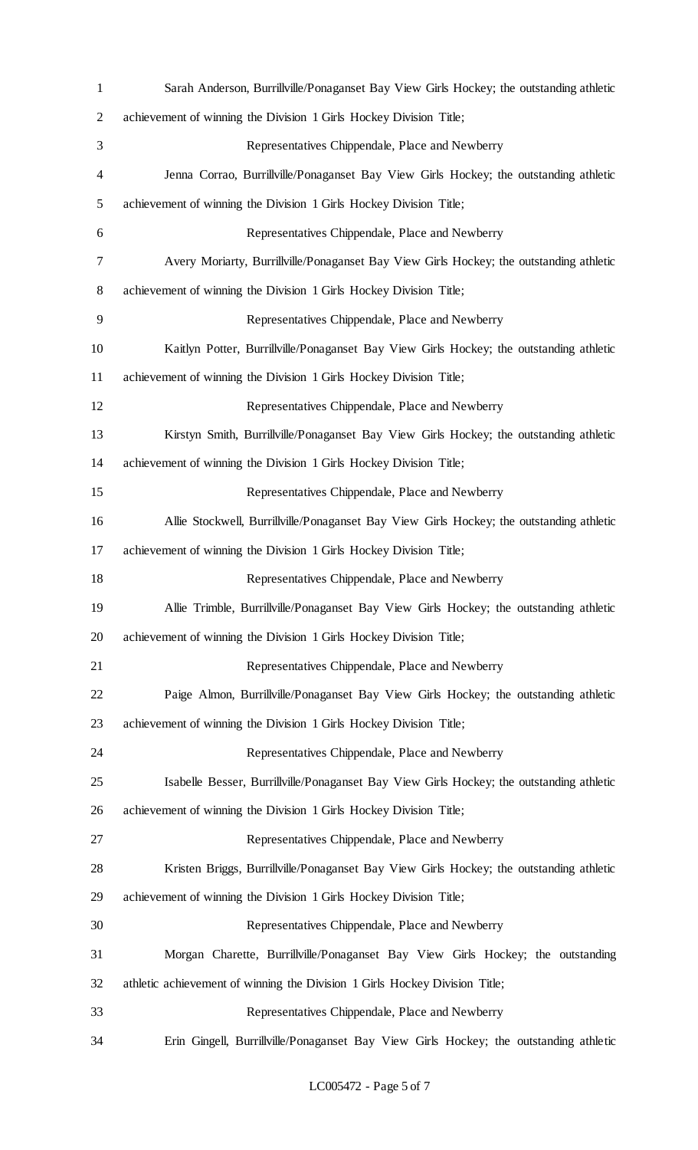| $\mathbf{1}$   | Sarah Anderson, Burrillville/Ponaganset Bay View Girls Hockey; the outstanding athletic  |
|----------------|------------------------------------------------------------------------------------------|
| $\overline{2}$ | achievement of winning the Division 1 Girls Hockey Division Title;                       |
| 3              | Representatives Chippendale, Place and Newberry                                          |
| 4              | Jenna Corrao, Burrillville/Ponaganset Bay View Girls Hockey; the outstanding athletic    |
| 5              | achievement of winning the Division 1 Girls Hockey Division Title;                       |
| 6              | Representatives Chippendale, Place and Newberry                                          |
| 7              | Avery Moriarty, Burrillville/Ponaganset Bay View Girls Hockey; the outstanding athletic  |
| 8              | achievement of winning the Division 1 Girls Hockey Division Title;                       |
| 9              | Representatives Chippendale, Place and Newberry                                          |
| 10             | Kaitlyn Potter, Burrillville/Ponaganset Bay View Girls Hockey; the outstanding athletic  |
| 11             | achievement of winning the Division 1 Girls Hockey Division Title;                       |
| 12             | Representatives Chippendale, Place and Newberry                                          |
| 13             | Kirstyn Smith, Burrillville/Ponaganset Bay View Girls Hockey; the outstanding athletic   |
| 14             | achievement of winning the Division 1 Girls Hockey Division Title;                       |
| 15             | Representatives Chippendale, Place and Newberry                                          |
| 16             | Allie Stockwell, Burrillville/Ponaganset Bay View Girls Hockey; the outstanding athletic |
| 17             | achievement of winning the Division 1 Girls Hockey Division Title;                       |
| 18             | Representatives Chippendale, Place and Newberry                                          |
| 19             | Allie Trimble, Burrillville/Ponaganset Bay View Girls Hockey; the outstanding athletic   |
| 20             | achievement of winning the Division 1 Girls Hockey Division Title;                       |
| 21             | Representatives Chippendale, Place and Newberry                                          |
| 22             | Paige Almon, Burrillville/Ponaganset Bay View Girls Hockey; the outstanding athletic     |
| 23             | achievement of winning the Division 1 Girls Hockey Division Title;                       |
| 24             | Representatives Chippendale, Place and Newberry                                          |
| 25             | Isabelle Besser, Burrillville/Ponaganset Bay View Girls Hockey; the outstanding athletic |
| 26             | achievement of winning the Division 1 Girls Hockey Division Title;                       |
| 27             | Representatives Chippendale, Place and Newberry                                          |
| 28             | Kristen Briggs, Burrillville/Ponaganset Bay View Girls Hockey; the outstanding athletic  |
| 29             | achievement of winning the Division 1 Girls Hockey Division Title;                       |
| 30             | Representatives Chippendale, Place and Newberry                                          |
| 31             | Morgan Charette, Burrillville/Ponaganset Bay View Girls Hockey; the outstanding          |
| 32             | athletic achievement of winning the Division 1 Girls Hockey Division Title;              |
| 33             | Representatives Chippendale, Place and Newberry                                          |
| 34             | Erin Gingell, Burrillville/Ponaganset Bay View Girls Hockey; the outstanding athletic    |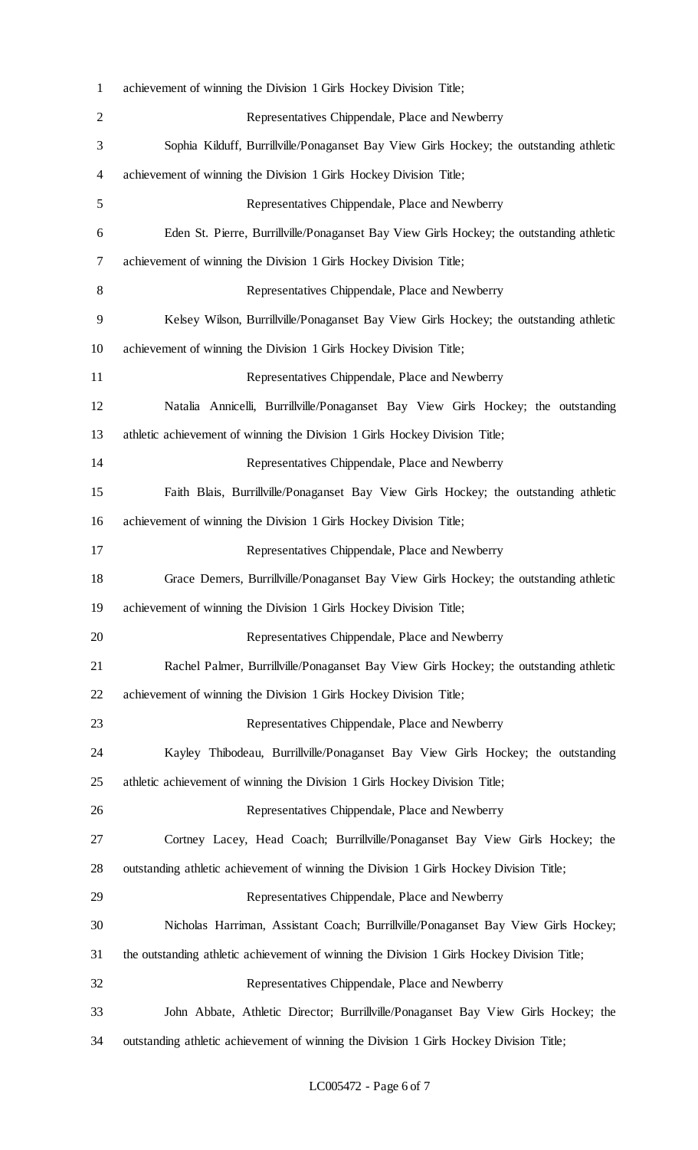| $\mathbf{1}$   | achievement of winning the Division 1 Girls Hockey Division Title;                          |
|----------------|---------------------------------------------------------------------------------------------|
| $\overline{2}$ | Representatives Chippendale, Place and Newberry                                             |
| 3              | Sophia Kilduff, Burrillville/Ponaganset Bay View Girls Hockey; the outstanding athletic     |
| 4              | achievement of winning the Division 1 Girls Hockey Division Title;                          |
| 5              | Representatives Chippendale, Place and Newberry                                             |
| 6              | Eden St. Pierre, Burrillville/Ponaganset Bay View Girls Hockey; the outstanding athletic    |
| 7              | achievement of winning the Division 1 Girls Hockey Division Title;                          |
| 8              | Representatives Chippendale, Place and Newberry                                             |
| 9              | Kelsey Wilson, Burrillville/Ponaganset Bay View Girls Hockey; the outstanding athletic      |
| 10             | achievement of winning the Division 1 Girls Hockey Division Title;                          |
| 11             | Representatives Chippendale, Place and Newberry                                             |
| 12             | Natalia Annicelli, Burrillville/Ponaganset Bay View Girls Hockey; the outstanding           |
| 13             | athletic achievement of winning the Division 1 Girls Hockey Division Title;                 |
| 14             | Representatives Chippendale, Place and Newberry                                             |
| 15             | Faith Blais, Burrillville/Ponaganset Bay View Girls Hockey; the outstanding athletic        |
| 16             | achievement of winning the Division 1 Girls Hockey Division Title;                          |
| 17             | Representatives Chippendale, Place and Newberry                                             |
| 18             | Grace Demers, Burrillville/Ponaganset Bay View Girls Hockey; the outstanding athletic       |
| 19             | achievement of winning the Division 1 Girls Hockey Division Title;                          |
| 20             | Representatives Chippendale, Place and Newberry                                             |
| 21             | Rachel Palmer, Burrillville/Ponaganset Bay View Girls Hockey; the outstanding athletic      |
| 22             | achievement of winning the Division 1 Girls Hockey Division Title;                          |
| 23             | Representatives Chippendale, Place and Newberry                                             |
| 24             | Kayley Thibodeau, Burrillville/Ponaganset Bay View Girls Hockey; the outstanding            |
| 25             | athletic achievement of winning the Division 1 Girls Hockey Division Title;                 |
| 26             | Representatives Chippendale, Place and Newberry                                             |
| 27             | Cortney Lacey, Head Coach; Burrillville/Ponaganset Bay View Girls Hockey; the               |
| 28             | outstanding athletic achievement of winning the Division 1 Girls Hockey Division Title;     |
| 29             | Representatives Chippendale, Place and Newberry                                             |
| 30             | Nicholas Harriman, Assistant Coach; Burrillville/Ponaganset Bay View Girls Hockey;          |
| 31             | the outstanding athletic achievement of winning the Division 1 Girls Hockey Division Title; |
| 32             | Representatives Chippendale, Place and Newberry                                             |
| 33             | John Abbate, Athletic Director; Burrillville/Ponaganset Bay View Girls Hockey; the          |
| 34             | outstanding athletic achievement of winning the Division 1 Girls Hockey Division Title;     |